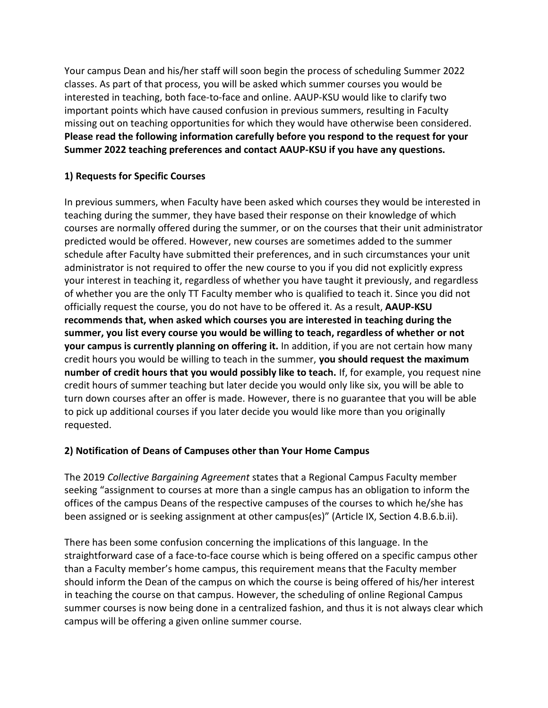Your campus Dean and his/her staff will soon begin the process of scheduling Summer 2022 classes. As part of that process, you will be asked which summer courses you would be interested in teaching, both face-to-face and online. AAUP-KSU would like to clarify two important points which have caused confusion in previous summers, resulting in Faculty missing out on teaching opportunities for which they would have otherwise been considered. **Please read the following information carefully before you respond to the request for your Summer 2022 teaching preferences and contact AAUP-KSU if you have any questions.** 

## **1) Requests for Specific Courses**

In previous summers, when Faculty have been asked which courses they would be interested in teaching during the summer, they have based their response on their knowledge of which courses are normally offered during the summer, or on the courses that their unit administrator predicted would be offered. However, new courses are sometimes added to the summer schedule after Faculty have submitted their preferences, and in such circumstances your unit administrator is not required to offer the new course to you if you did not explicitly express your interest in teaching it, regardless of whether you have taught it previously, and regardless of whether you are the only TT Faculty member who is qualified to teach it. Since you did not officially request the course, you do not have to be offered it. As a result, **AAUP-KSU recommends that, when asked which courses you are interested in teaching during the summer, you list every course you would be willing to teach, regardless of whether or not your campus is currently planning on offering it.** In addition, if you are not certain how many credit hours you would be willing to teach in the summer, **you should request the maximum number of credit hours that you would possibly like to teach.** If, for example, you request nine credit hours of summer teaching but later decide you would only like six, you will be able to turn down courses after an offer is made. However, there is no guarantee that you will be able to pick up additional courses if you later decide you would like more than you originally requested.

## **2) Notification of Deans of Campuses other than Your Home Campus**

The 2019 *Collective Bargaining Agreement* states that a Regional Campus Faculty member seeking "assignment to courses at more than a single campus has an obligation to inform the offices of the campus Deans of the respective campuses of the courses to which he/she has been assigned or is seeking assignment at other campus(es)" (Article IX, Section 4.B.6.b.ii).

There has been some confusion concerning the implications of this language. In the straightforward case of a face-to-face course which is being offered on a specific campus other than a Faculty member's home campus, this requirement means that the Faculty member should inform the Dean of the campus on which the course is being offered of his/her interest in teaching the course on that campus. However, the scheduling of online Regional Campus summer courses is now being done in a centralized fashion, and thus it is not always clear which campus will be offering a given online summer course.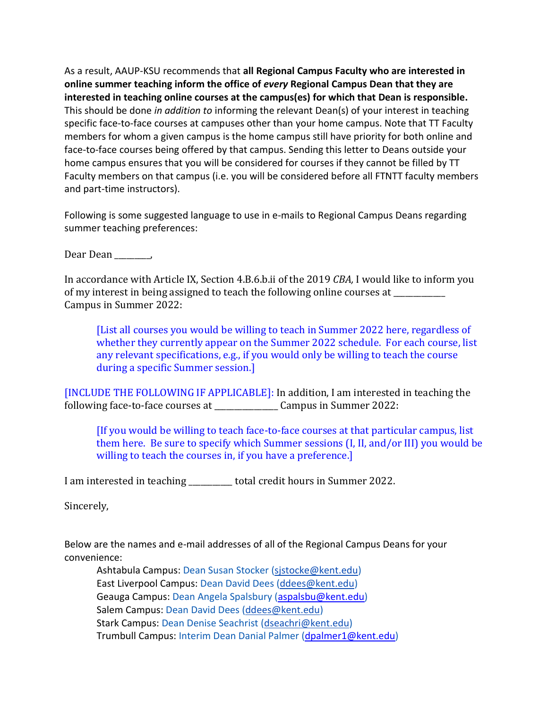As a result, AAUP-KSU recommends that **all Regional Campus Faculty who are interested in online summer teaching inform the office of** *every* **Regional Campus Dean that they are interested in teaching online courses at the campus(es) for which that Dean is responsible.** This should be done *in addition to* informing the relevant Dean(s) of your interest in teaching specific face-to-face courses at campuses other than your home campus. Note that TT Faculty members for whom a given campus is the home campus still have priority for both online and face-to-face courses being offered by that campus. Sending this letter to Deans outside your home campus ensures that you will be considered for courses if they cannot be filled by TT Faculty members on that campus (i.e. you will be considered before all FTNTT faculty members and part-time instructors).

Following is some suggested language to use in e-mails to Regional Campus Deans regarding summer teaching preferences:

Dear Dean \_\_\_\_\_\_\_\_\_,

In accordance with Article IX, Section 4.B.6.b.ii of the 2019 *CBA,* I would like to inform you of my interest in being assigned to teach the following online courses at Campus in Summer 2022:

[List all courses you would be willing to teach in Summer 2022 here, regardless of whether they currently appear on the Summer 2022 schedule. For each course, list any relevant specifications, e.g., if you would only be willing to teach the course during a specific Summer session.]

[INCLUDE THE FOLLOWING IF APPLICABLE]: In addition, I am interested in teaching the following face-to-face courses at \_\_\_\_\_\_\_\_\_\_\_\_\_\_\_\_ Campus in Summer 2022:

[If you would be willing to teach face-to-face courses at that particular campus, list them here. Be sure to specify which Summer sessions (I, II, and/or III) you would be willing to teach the courses in, if you have a preference.]

I am interested in teaching \_\_\_\_\_\_\_\_\_\_\_ total credit hours in Summer 2022.

Sincerely,

Below are the names and e-mail addresses of all of the Regional Campus Deans for your convenience:

Ashtabula Campus: Dean Susan Stocker (sistocke@kent.edu) East Liverpool Campus: Dean David Dees [\(ddees@kent.edu\)](mailto:ddees@kent.edu) Geauga Campus: Dean Angela Spalsbury [\(aspalsbu@kent.edu\)](mailto:aspalsbu@kent.edu) Salem Campus: Dean David Dees [\(ddees@kent.edu\)](mailto:ddees@kent.edu) Stark Campus: Dean Denise Seachrist [\(dseachri@kent.edu\)](mailto:dseachri@kent.edu) Trumbull Campus: Interim Dean Danial Palmer [\(dpalmer1@kent.edu\)](mailto:dpalmer1@kent.edu)